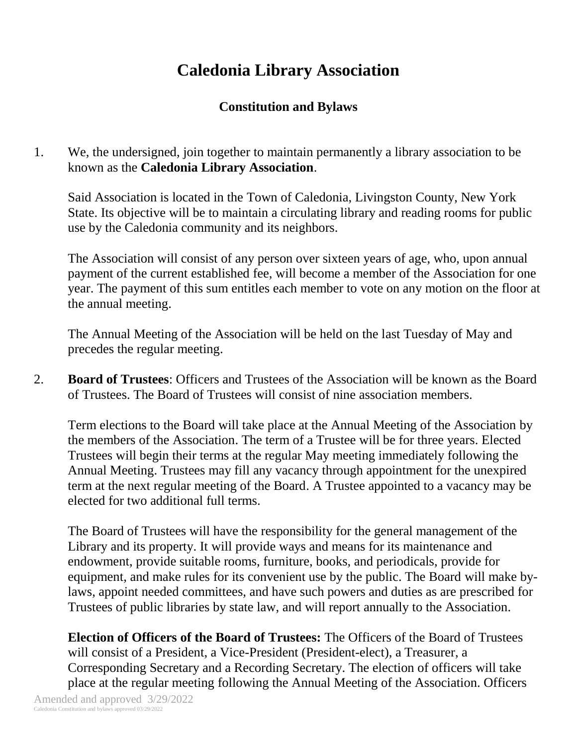## **Caledonia Library Association**

## **Constitution and Bylaws**

1. We, the undersigned, join together to maintain permanently a library association to be known as the **Caledonia Library Association**.

Said Association is located in the Town of Caledonia, Livingston County, New York State. Its objective will be to maintain a circulating library and reading rooms for public use by the Caledonia community and its neighbors.

The Association will consist of any person over sixteen years of age, who, upon annual payment of the current established fee, will become a member of the Association for one year. The payment of this sum entitles each member to vote on any motion on the floor at the annual meeting.

The Annual Meeting of the Association will be held on the last Tuesday of May and precedes the regular meeting.

2. **Board of Trustees**: Officers and Trustees of the Association will be known as the Board of Trustees. The Board of Trustees will consist of nine association members.

Term elections to the Board will take place at the Annual Meeting of the Association by the members of the Association. The term of a Trustee will be for three years. Elected Trustees will begin their terms at the regular May meeting immediately following the Annual Meeting. Trustees may fill any vacancy through appointment for the unexpired term at the next regular meeting of the Board. A Trustee appointed to a vacancy may be elected for two additional full terms.

The Board of Trustees will have the responsibility for the general management of the Library and its property. It will provide ways and means for its maintenance and endowment, provide suitable rooms, furniture, books, and periodicals, provide for equipment, and make rules for its convenient use by the public. The Board will make bylaws, appoint needed committees, and have such powers and duties as are prescribed for Trustees of public libraries by state law, and will report annually to the Association.

**Election of Officers of the Board of Trustees:** The Officers of the Board of Trustees will consist of a President, a Vice-President (President-elect), a Treasurer, a Corresponding Secretary and a Recording Secretary. The election of officers will take place at the regular meeting following the Annual Meeting of the Association. Officers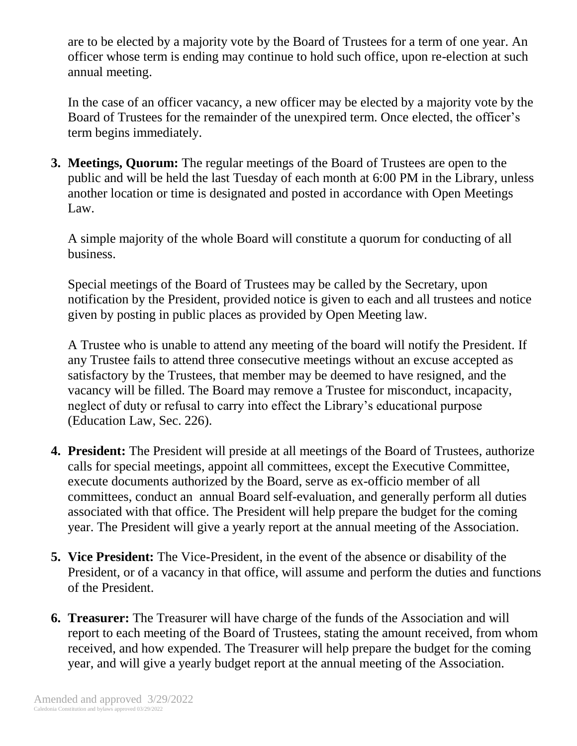are to be elected by a majority vote by the Board of Trustees for a term of one year. An officer whose term is ending may continue to hold such office, upon re-election at such annual meeting.

In the case of an officer vacancy, a new officer may be elected by a majority vote by the Board of Trustees for the remainder of the unexpired term. Once elected, the officer's term begins immediately.

**3. Meetings, Quorum:** The regular meetings of the Board of Trustees are open to the public and will be held the last Tuesday of each month at 6:00 PM in the Library, unless another location or time is designated and posted in accordance with Open Meetings Law.

A simple majority of the whole Board will constitute a quorum for conducting of all business.

Special meetings of the Board of Trustees may be called by the Secretary, upon notification by the President, provided notice is given to each and all trustees and notice given by posting in public places as provided by Open Meeting law.

A Trustee who is unable to attend any meeting of the board will notify the President. If any Trustee fails to attend three consecutive meetings without an excuse accepted as satisfactory by the Trustees, that member may be deemed to have resigned, and the vacancy will be filled. The Board may remove a Trustee for misconduct, incapacity, neglect of duty or refusal to carry into effect the Library's educational purpose (Education Law, Sec. 226).

- **4. President:** The President will preside at all meetings of the Board of Trustees, authorize calls for special meetings, appoint all committees, except the Executive Committee, execute documents authorized by the Board, serve as ex-officio member of all committees, conduct an annual Board self-evaluation, and generally perform all duties associated with that office. The President will help prepare the budget for the coming year. The President will give a yearly report at the annual meeting of the Association.
- **5. Vice President:** The Vice-President, in the event of the absence or disability of the President, or of a vacancy in that office, will assume and perform the duties and functions of the President.
- **6. Treasurer:** The Treasurer will have charge of the funds of the Association and will report to each meeting of the Board of Trustees, stating the amount received, from whom received, and how expended. The Treasurer will help prepare the budget for the coming year, and will give a yearly budget report at the annual meeting of the Association.